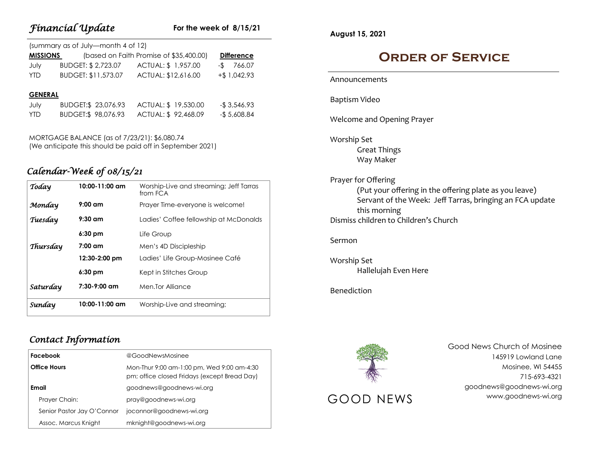| Financial Update |  |
|------------------|--|
|------------------|--|

#### **For the week of 8/15/21**

| (summary as of July-month 4 of 12) |                     |                                         |                   |  |
|------------------------------------|---------------------|-----------------------------------------|-------------------|--|
| <b>MISSIONS</b>                    |                     | (based on Faith Promise of \$35,400.00) | <b>Difference</b> |  |
| July                               | BUDGET: \$2,723.07  | ACTUAL: \$1,957.00                      | 766.07<br>$-S$    |  |
| <b>YTD</b>                         | BUDGET: \$11,573.07 | ACTUAL: \$12,616.00                     | $+$ \$ 1,042.93   |  |
| <b>GENERAL</b>                     |                     |                                         |                   |  |

| July | BUDGET:\$ 23,076.93 | ACTUAL: \$19,530.00 | -\$3,546.93  |
|------|---------------------|---------------------|--------------|
| YTD. | BUDGET:\$ 98,076.93 | ACTUAL: \$92,468.09 | -\$ 5,608.84 |

MORTGAGE BALANCE (as of 7/23/21): \$6,080.74 (We anticipate this should be paid off in September 2021)

## *Calendar-Week of 08/15/21*

| Today    | $10:00 - 11:00$ am | Worship-Live and streaming; Jeff Tarras<br>from FCA |
|----------|--------------------|-----------------------------------------------------|
| Monday   | $9:00$ am          | Prayer Time-everyone is welcome!                    |
| Tuesday  | $9:30$ am          | Ladies' Coffee fellowship at McDonalds              |
|          | $6:30$ pm          | Life Group                                          |
| Thursday | $7:00 \text{ cm}$  | Men's 4D Discipleship                               |
|          | 12:30-2:00 pm      | Ladies' Life Group-Mosinee Café                     |
|          | $6:30$ pm          | Kept in Stitches Group                              |
| Saturday | $7:30-9:00$ am     | Men.Tor Alliance                                    |
| Sunday   | 10:00-11:00 am     | Worship-Live and streaming;                         |

### *Contact Information*

| <b>Facebook</b>            | @GoodNewsMosinee                                                                           |
|----------------------------|--------------------------------------------------------------------------------------------|
| <b>Office Hours</b>        | Mon-Thur 9:00 am-1:00 pm, Wed 9:00 am-4:30<br>pm; office closed Fridays (except Bread Day) |
| Email                      | goodnews@goodnews-wi.org                                                                   |
| Prayer Chain:              | pray@goodnews-wi.org                                                                       |
| Senior Pastor Jay O'Connor | joconnor@goodnews-wi.org                                                                   |
| Assoc. Marcus Knight       | mknight@goodnews-wi.org                                                                    |

**August 15, 2021**

# **Order of Service**

Announcements

Baptism Video

Welcome and Opening Prayer

Worship Set Great Things Way Maker

Prayer for Offering (Put your offering in the offering plate as you leave) Servant of the Week: Jeff Tarras, bringing an FCA update this morning Dismiss children to Children's Church

#### Sermon

Worship Set Hallelujah Even Here

#### Benediction



Good News Church of Mosinee 145919 Lowland Lane Mosinee, WI 54455 715-693-4321 goodnews@goodnews-wi.org GOOD NEWS www.goodnews-wi.org